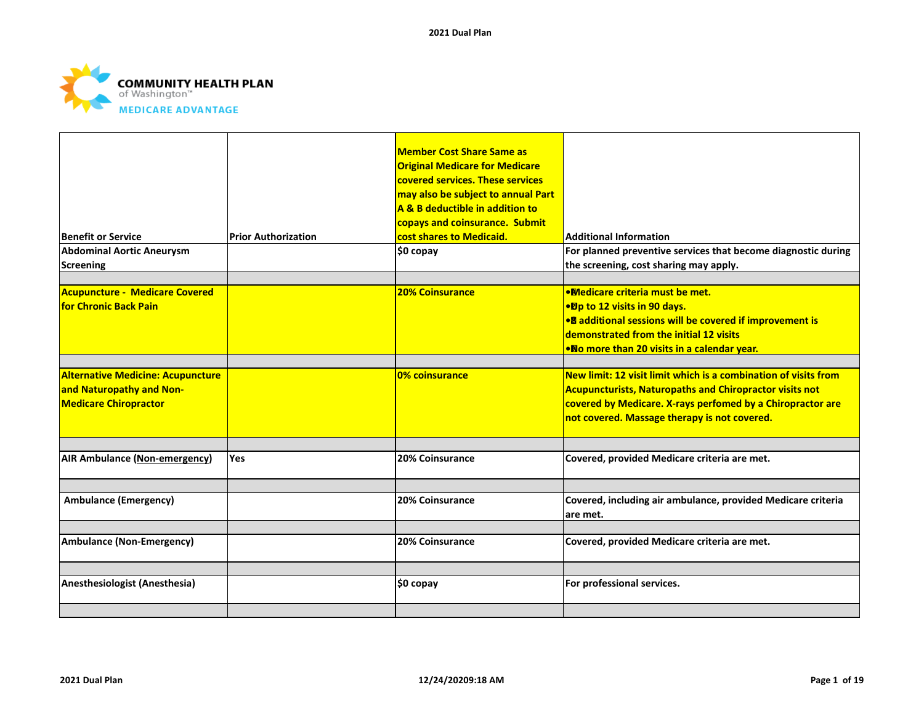

| Benefit or Service <br><b>Abdominal Aortic Aneurysm</b><br>Screening                                 | <b>Prior Authorization</b> | <b>Member Cost Share Same as</b><br><b>Original Medicare for Medicare</b><br>covered services. These services<br>may also be subject to annual Part<br>A & B deductible in addition to<br>copays and coinsurance. Submit<br>cost shares to Medicaid.<br>\$0 copay | <b>Additional Information</b><br>For planned preventive services that become diagnostic during<br>the screening, cost sharing may apply.                                                                                                        |
|------------------------------------------------------------------------------------------------------|----------------------------|-------------------------------------------------------------------------------------------------------------------------------------------------------------------------------------------------------------------------------------------------------------------|-------------------------------------------------------------------------------------------------------------------------------------------------------------------------------------------------------------------------------------------------|
| <b>Acupuncture - Medicare Covered</b><br><b>for Chronic Back Pain</b>                                |                            | <b>20% Coinsurance</b>                                                                                                                                                                                                                                            | . Medicare criteria must be met.<br>●Dp to 12 visits in 90 days.<br>• <sup>8</sup> additional sessions will be covered if improvement is<br>demonstrated from the initial 12 visits<br><b>.No more than 20 visits in a calendar year.</b>       |
| <b>Alternative Medicine: Acupuncture</b><br>and Naturopathy and Non-<br><b>Medicare Chiropractor</b> |                            | 0% coinsurance                                                                                                                                                                                                                                                    | New limit: 12 visit limit which is a combination of visits from<br><b>Acupuncturists, Naturopaths and Chiropractor visits not</b><br>covered by Medicare. X-rays perfomed by a Chiropractor are<br>not covered. Massage therapy is not covered. |
| <b>AIR Ambulance (Non-emergency)</b>                                                                 | Yes                        | 20% Coinsurance                                                                                                                                                                                                                                                   | Covered, provided Medicare criteria are met.                                                                                                                                                                                                    |
| <b>Ambulance (Emergency)</b>                                                                         |                            | <b>20% Coinsurance</b>                                                                                                                                                                                                                                            | Covered, including air ambulance, provided Medicare criteria<br>lare met.                                                                                                                                                                       |
| <b>Ambulance (Non-Emergency)</b>                                                                     |                            | 20% Coinsurance                                                                                                                                                                                                                                                   | Covered, provided Medicare criteria are met.                                                                                                                                                                                                    |
| Anesthesiologist (Anesthesia)                                                                        |                            | \$0 copay                                                                                                                                                                                                                                                         | For professional services.                                                                                                                                                                                                                      |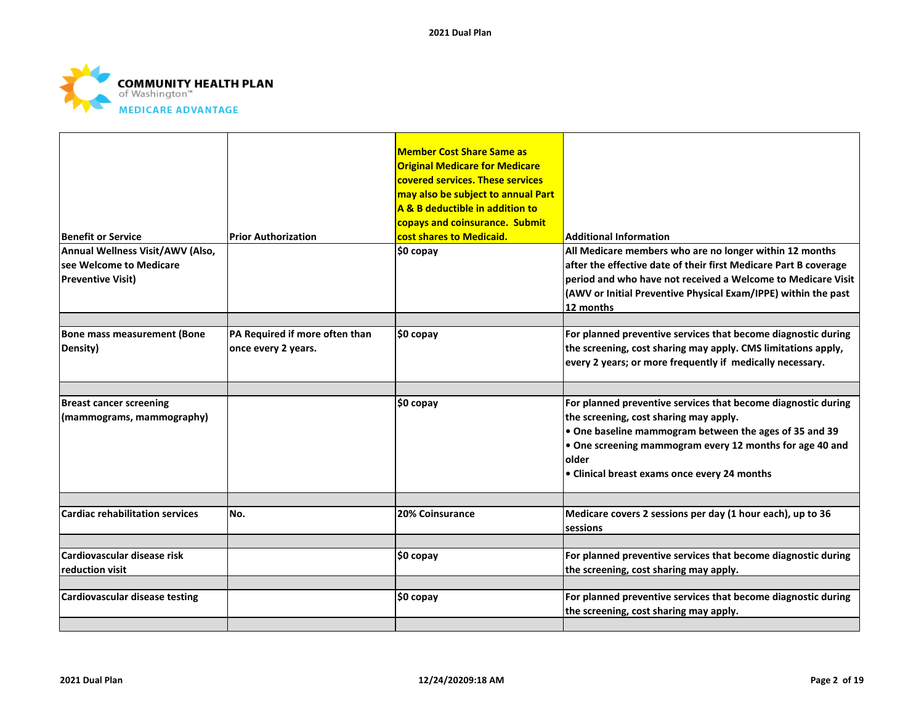

|                                        |                                | <b>Member Cost Share Same as</b><br><b>Original Medicare for Medicare</b><br>covered services. These services<br>may also be subject to annual Part<br>A & B deductible in addition to<br>copays and coinsurance. Submit |                                                                  |
|----------------------------------------|--------------------------------|--------------------------------------------------------------------------------------------------------------------------------------------------------------------------------------------------------------------------|------------------------------------------------------------------|
| <b>Benefit or Service</b>              | <b>Prior Authorization</b>     | cost shares to Medicaid.                                                                                                                                                                                                 | <b>Additional Information</b>                                    |
| Annual Wellness Visit/AWV (Also,       |                                | \$0 copay                                                                                                                                                                                                                | All Medicare members who are no longer within 12 months          |
| lsee Welcome to Medicare               |                                |                                                                                                                                                                                                                          | after the effective date of their first Medicare Part B coverage |
| <b>Preventive Visit)</b>               |                                |                                                                                                                                                                                                                          | period and who have not received a Welcome to Medicare Visit     |
|                                        |                                |                                                                                                                                                                                                                          | (AWV or Initial Preventive Physical Exam/IPPE) within the past   |
|                                        |                                |                                                                                                                                                                                                                          | 12 months                                                        |
|                                        |                                |                                                                                                                                                                                                                          |                                                                  |
| <b>Bone mass measurement (Bone</b>     | PA Required if more often than | \$0 copay                                                                                                                                                                                                                | For planned preventive services that become diagnostic during    |
| Density)                               | once every 2 years.            |                                                                                                                                                                                                                          | the screening, cost sharing may apply. CMS limitations apply,    |
|                                        |                                |                                                                                                                                                                                                                          | every 2 years; or more frequently if medically necessary.        |
|                                        |                                |                                                                                                                                                                                                                          |                                                                  |
| <b>Breast cancer screening</b>         |                                | \$0 copay                                                                                                                                                                                                                | For planned preventive services that become diagnostic during    |
| (mammograms, mammography)              |                                |                                                                                                                                                                                                                          | the screening, cost sharing may apply.                           |
|                                        |                                |                                                                                                                                                                                                                          | • One baseline mammogram between the ages of 35 and 39           |
|                                        |                                |                                                                                                                                                                                                                          | . One screening mammogram every 12 months for age 40 and         |
|                                        |                                |                                                                                                                                                                                                                          | older                                                            |
|                                        |                                |                                                                                                                                                                                                                          | • Clinical breast exams once every 24 months                     |
|                                        |                                |                                                                                                                                                                                                                          |                                                                  |
| <b>Cardiac rehabilitation services</b> | No.                            | 20% Coinsurance                                                                                                                                                                                                          | Medicare covers 2 sessions per day (1 hour each), up to 36       |
|                                        |                                |                                                                                                                                                                                                                          | sessions                                                         |
|                                        |                                |                                                                                                                                                                                                                          |                                                                  |
| Cardiovascular disease risk            |                                | \$0 copay                                                                                                                                                                                                                | For planned preventive services that become diagnostic during    |
| reduction visit                        |                                |                                                                                                                                                                                                                          | the screening, cost sharing may apply.                           |
|                                        |                                |                                                                                                                                                                                                                          |                                                                  |
| Cardiovascular disease testing         |                                | \$0 copay                                                                                                                                                                                                                | For planned preventive services that become diagnostic during    |
|                                        |                                |                                                                                                                                                                                                                          | the screening, cost sharing may apply.                           |
|                                        |                                |                                                                                                                                                                                                                          |                                                                  |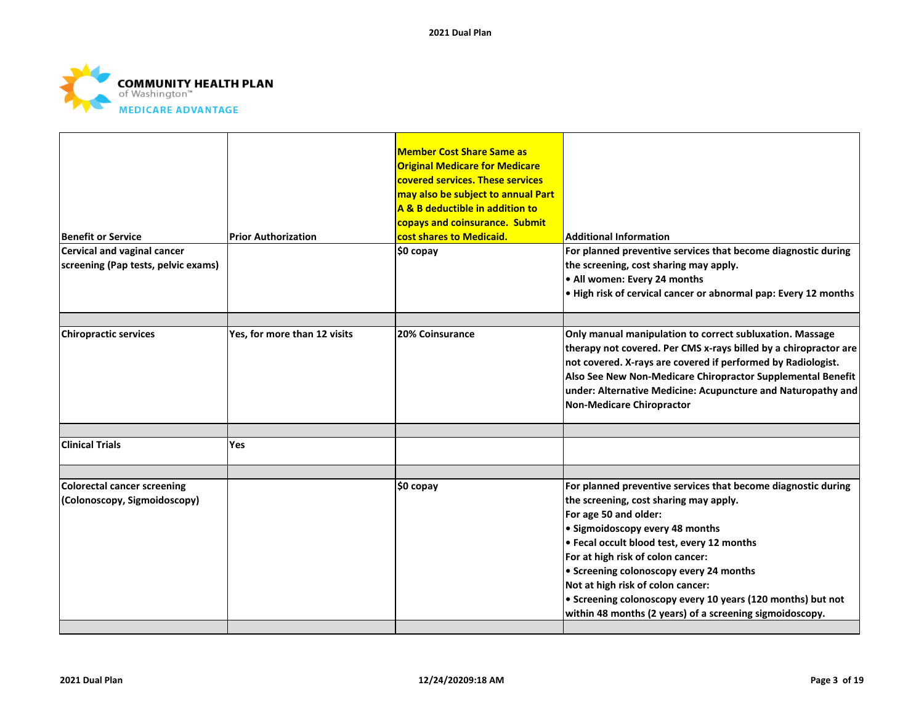

|                                                                    |                              | <b>Member Cost Share Same as</b><br><b>Original Medicare for Medicare</b><br>covered services. These services<br>may also be subject to annual Part<br>A & B deductible in addition to<br>copays and coinsurance. Submit |                                                                                                                                                                                                                                                                                                                                                                                                                                                                   |
|--------------------------------------------------------------------|------------------------------|--------------------------------------------------------------------------------------------------------------------------------------------------------------------------------------------------------------------------|-------------------------------------------------------------------------------------------------------------------------------------------------------------------------------------------------------------------------------------------------------------------------------------------------------------------------------------------------------------------------------------------------------------------------------------------------------------------|
| <b>Benefit or Service</b>                                          | <b>Prior Authorization</b>   | cost shares to Medicaid.                                                                                                                                                                                                 | <b>Additional Information</b>                                                                                                                                                                                                                                                                                                                                                                                                                                     |
| Cervical and vaginal cancer<br>screening (Pap tests, pelvic exams) |                              | \$0 copay                                                                                                                                                                                                                | For planned preventive services that become diagnostic during<br>the screening, cost sharing may apply.<br>• All women: Every 24 months<br>. High risk of cervical cancer or abnormal pap: Every 12 months                                                                                                                                                                                                                                                        |
| <b>Chiropractic services</b>                                       | Yes, for more than 12 visits | 20% Coinsurance                                                                                                                                                                                                          | Only manual manipulation to correct subluxation. Massage<br>therapy not covered. Per CMS x-rays billed by a chiropractor are<br>not covered. X-rays are covered if performed by Radiologist.<br>Also See New Non-Medicare Chiropractor Supplemental Benefit<br>under: Alternative Medicine: Acupuncture and Naturopathy and<br>Non-Medicare Chiropractor                                                                                                          |
| <b>Clinical Trials</b>                                             | Yes                          |                                                                                                                                                                                                                          |                                                                                                                                                                                                                                                                                                                                                                                                                                                                   |
| <b>Colorectal cancer screening</b><br>(Colonoscopy, Sigmoidoscopy) |                              | $$0$ copay                                                                                                                                                                                                               | For planned preventive services that become diagnostic during<br>the screening, cost sharing may apply.<br>For age 50 and older:<br>• Sigmoidoscopy every 48 months<br>• Fecal occult blood test, every 12 months<br>For at high risk of colon cancer:<br>• Screening colonoscopy every 24 months<br>Not at high risk of colon cancer:<br>• Screening colonoscopy every 10 years (120 months) but not<br>within 48 months (2 years) of a screening sigmoidoscopy. |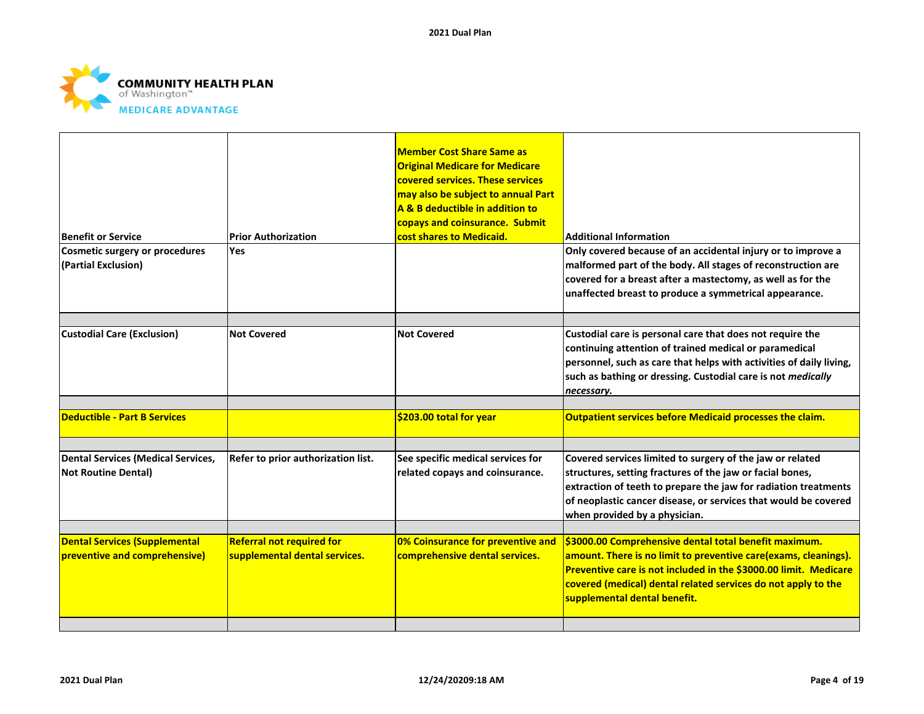

|                                                                         |                                    | <b>Member Cost Share Same as</b><br><b>Original Medicare for Medicare</b><br>covered services. These services<br>may also be subject to annual Part<br>A & B deductible in addition to<br>copays and coinsurance. Submit |                                                                                                                                                                                                                                                                                               |
|-------------------------------------------------------------------------|------------------------------------|--------------------------------------------------------------------------------------------------------------------------------------------------------------------------------------------------------------------------|-----------------------------------------------------------------------------------------------------------------------------------------------------------------------------------------------------------------------------------------------------------------------------------------------|
| <b>Benefit or Service</b>                                               | <b>Prior Authorization</b>         | cost shares to Medicaid.                                                                                                                                                                                                 | <b>Additional Information</b>                                                                                                                                                                                                                                                                 |
| <b>Cosmetic surgery or procedures</b><br>(Partial Exclusion)            | <b>Yes</b>                         |                                                                                                                                                                                                                          | Only covered because of an accidental injury or to improve a<br>malformed part of the body. All stages of reconstruction are<br>covered for a breast after a mastectomy, as well as for the<br>unaffected breast to produce a symmetrical appearance.                                         |
|                                                                         |                                    |                                                                                                                                                                                                                          |                                                                                                                                                                                                                                                                                               |
| <b>Custodial Care (Exclusion)</b>                                       | <b>Not Covered</b>                 | <b>Not Covered</b>                                                                                                                                                                                                       | Custodial care is personal care that does not require the<br>continuing attention of trained medical or paramedical<br>personnel, such as care that helps with activities of daily living,<br>such as bathing or dressing. Custodial care is not medically<br>necessary.                      |
|                                                                         |                                    |                                                                                                                                                                                                                          |                                                                                                                                                                                                                                                                                               |
| <b>Deductible - Part B Services</b>                                     |                                    | \$203.00 total for year                                                                                                                                                                                                  | <b>Outpatient services before Medicaid processes the claim.</b>                                                                                                                                                                                                                               |
|                                                                         |                                    |                                                                                                                                                                                                                          |                                                                                                                                                                                                                                                                                               |
| <b>Dental Services (Medical Services,</b><br><b>Not Routine Dental)</b> | Refer to prior authorization list. | See specific medical services for<br>related copays and coinsurance.                                                                                                                                                     | Covered services limited to surgery of the jaw or related<br>structures, setting fractures of the jaw or facial bones,<br>extraction of teeth to prepare the jaw for radiation treatments<br>of neoplastic cancer disease, or services that would be covered<br>when provided by a physician. |
| <b>Dental Services (Supplemental</b>                                    | <b>Referral not required for</b>   | 0% Coinsurance for preventive and                                                                                                                                                                                        | \$3000.00 Comprehensive dental total benefit maximum.                                                                                                                                                                                                                                         |
| preventive and comprehensive)                                           | supplemental dental services.      | comprehensive dental services.                                                                                                                                                                                           | amount. There is no limit to preventive care(exams, cleanings).<br>Preventive care is not included in the \$3000.00 limit. Medicare<br>covered (medical) dental related services do not apply to the<br>supplemental dental benefit.                                                          |
|                                                                         |                                    |                                                                                                                                                                                                                          |                                                                                                                                                                                                                                                                                               |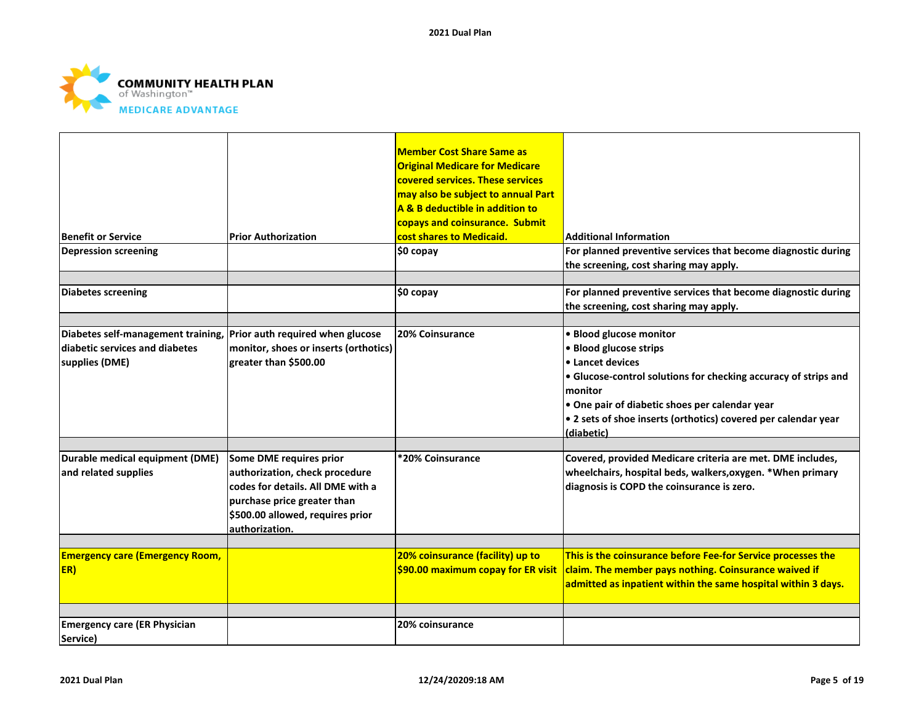

| <b>Benefit or Service</b><br><b>Depression screening</b>                                                                | <b>Prior Authorization</b>                                                                                                                                                          | <b>Member Cost Share Same as</b><br><b>Original Medicare for Medicare</b><br>covered services. These services<br>may also be subject to annual Part<br>A & B deductible in addition to<br>copays and coinsurance. Submit<br>cost shares to Medicaid.<br>\$0 copay | <b>Additional Information</b><br>For planned preventive services that become diagnostic during<br>the screening, cost sharing may apply.                                                                                                                                              |
|-------------------------------------------------------------------------------------------------------------------------|-------------------------------------------------------------------------------------------------------------------------------------------------------------------------------------|-------------------------------------------------------------------------------------------------------------------------------------------------------------------------------------------------------------------------------------------------------------------|---------------------------------------------------------------------------------------------------------------------------------------------------------------------------------------------------------------------------------------------------------------------------------------|
| <b>Diabetes screening</b>                                                                                               |                                                                                                                                                                                     | \$0 copay                                                                                                                                                                                                                                                         | For planned preventive services that become diagnostic during<br>the screening, cost sharing may apply.                                                                                                                                                                               |
| Diabetes self-management training, Prior auth required when glucose<br>diabetic services and diabetes<br>supplies (DME) | monitor, shoes or inserts (orthotics)<br>greater than \$500.00                                                                                                                      | 20% Coinsurance                                                                                                                                                                                                                                                   | · Blood glucose monitor<br>• Blood glucose strips<br>• Lancet devices<br>• Glucose-control solutions for checking accuracy of strips and<br>monitor<br>. One pair of diabetic shoes per calendar year<br>• 2 sets of shoe inserts (orthotics) covered per calendar year<br>(diabetic) |
| Durable medical equipment (DME)<br>and related supplies                                                                 | Some DME requires prior<br>authorization, check procedure<br>codes for details. All DME with a<br>purchase price greater than<br>\$500.00 allowed, requires prior<br>authorization. | *20% Coinsurance                                                                                                                                                                                                                                                  | Covered, provided Medicare criteria are met. DME includes,<br>wheelchairs, hospital beds, walkers, oxygen. * When primary<br>diagnosis is COPD the coinsurance is zero.                                                                                                               |
| <b>Emergency care (Emergency Room,</b><br>ER)                                                                           |                                                                                                                                                                                     | 20% coinsurance (facility) up to<br>\$90.00 maximum copay for ER visit                                                                                                                                                                                            | This is the coinsurance before Fee-for Service processes the<br>claim. The member pays nothing. Coinsurance waived if<br>admitted as inpatient within the same hospital within 3 days.                                                                                                |
| <b>Emergency care (ER Physician</b><br>Service)                                                                         |                                                                                                                                                                                     | 20% coinsurance                                                                                                                                                                                                                                                   |                                                                                                                                                                                                                                                                                       |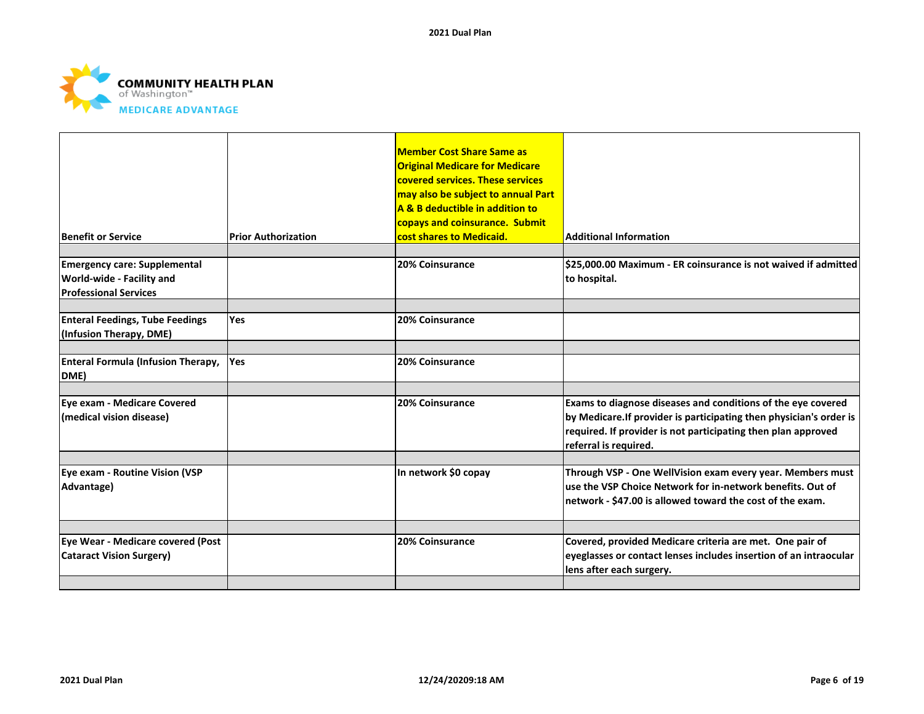

| <b>Benefit or Service</b>                                                                        | <b>Prior Authorization</b> | <b>Member Cost Share Same as</b><br><b>Original Medicare for Medicare</b><br>covered services. These services<br>may also be subject to annual Part<br>A & B deductible in addition to<br>copays and coinsurance. Submit<br>cost shares to Medicaid. | <b>Additional Information</b>                                                                                                                                                                                                 |
|--------------------------------------------------------------------------------------------------|----------------------------|------------------------------------------------------------------------------------------------------------------------------------------------------------------------------------------------------------------------------------------------------|-------------------------------------------------------------------------------------------------------------------------------------------------------------------------------------------------------------------------------|
| <b>Emergency care: Supplemental</b><br>World-wide - Facility and<br><b>Professional Services</b> |                            | 20% Coinsurance                                                                                                                                                                                                                                      | \$25,000.00 Maximum - ER coinsurance is not waived if admitted<br>to hospital.                                                                                                                                                |
| <b>Enteral Feedings, Tube Feedings</b><br>(Infusion Therapy, DME)                                | <b>Yes</b>                 | 20% Coinsurance                                                                                                                                                                                                                                      |                                                                                                                                                                                                                               |
| <b>Enteral Formula (Infusion Therapy,</b><br>DME)                                                | <b>Yes</b>                 | 20% Coinsurance                                                                                                                                                                                                                                      |                                                                                                                                                                                                                               |
| Eve exam - Medicare Covered<br>(medical vision disease)                                          |                            | 20% Coinsurance                                                                                                                                                                                                                                      | Exams to diagnose diseases and conditions of the eye covered<br>by Medicare. If provider is participating then physician's order is<br>required. If provider is not participating then plan approved<br>referral is required. |
| Eye exam - Routine Vision (VSP<br>Advantage)                                                     |                            | In network \$0 copay                                                                                                                                                                                                                                 | Through VSP - One WellVision exam every year. Members must<br>use the VSP Choice Network for in-network benefits. Out of<br>network - \$47.00 is allowed toward the cost of the exam.                                         |
| Eye Wear - Medicare covered (Post<br><b>Cataract Vision Surgery)</b>                             |                            | 20% Coinsurance                                                                                                                                                                                                                                      | Covered, provided Medicare criteria are met. One pair of<br>eyeglasses or contact lenses includes insertion of an intraocular<br>lens after each surgery.                                                                     |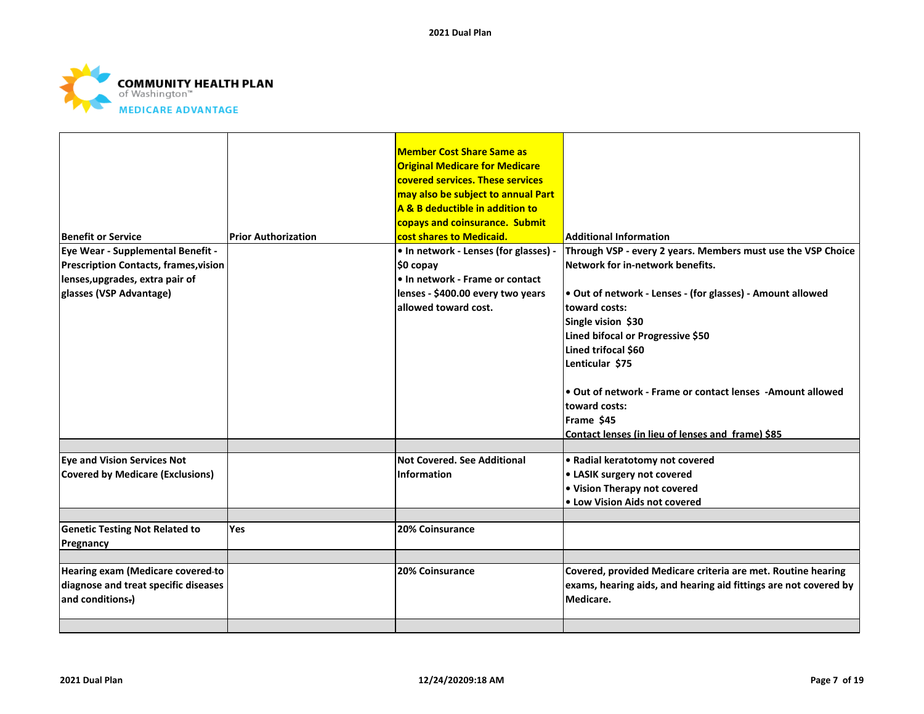

|                                              |                            | <b>Member Cost Share Same as</b>      |                                                                  |
|----------------------------------------------|----------------------------|---------------------------------------|------------------------------------------------------------------|
|                                              |                            | <b>Original Medicare for Medicare</b> |                                                                  |
|                                              |                            | covered services. These services      |                                                                  |
|                                              |                            | may also be subject to annual Part    |                                                                  |
|                                              |                            | A & B deductible in addition to       |                                                                  |
|                                              |                            | copays and coinsurance. Submit        |                                                                  |
| Benefit or Service                           | <b>Prior Authorization</b> | cost shares to Medicaid.              | <b>Additional Information</b>                                    |
| Eye Wear - Supplemental Benefit -            |                            | . In network - Lenses (for glasses) - | Through VSP - every 2 years. Members must use the VSP Choice     |
| <b>Prescription Contacts, frames, vision</b> |                            | \$0 copay                             | Network for in-network benefits.                                 |
| lenses, upgrades, extra pair of              |                            | . In network - Frame or contact       |                                                                  |
| glasses (VSP Advantage)                      |                            | lenses - \$400.00 every two years     | . Out of network - Lenses - (for glasses) - Amount allowed       |
|                                              |                            | allowed toward cost.                  | toward costs:                                                    |
|                                              |                            |                                       | Single vision \$30                                               |
|                                              |                            |                                       | Lined bifocal or Progressive \$50                                |
|                                              |                            |                                       | Lined trifocal \$60                                              |
|                                              |                            |                                       | Lenticular \$75                                                  |
|                                              |                            |                                       |                                                                  |
|                                              |                            |                                       | Out of network - Frame or contact lenses -Amount allowed         |
|                                              |                            |                                       | toward costs:                                                    |
|                                              |                            |                                       | Frame \$45                                                       |
|                                              |                            |                                       | Contact lenses (in lieu of lenses and frame) \$85                |
|                                              |                            |                                       |                                                                  |
| <b>Eye and Vision Services Not</b>           |                            | <b>Not Covered, See Additional</b>    | • Radial keratotomy not covered                                  |
| <b>Covered by Medicare (Exclusions)</b>      |                            | Information                           | • LASIK surgery not covered                                      |
|                                              |                            |                                       | • Vision Therapy not covered                                     |
|                                              |                            |                                       | • Low Vision Aids not covered                                    |
|                                              |                            |                                       |                                                                  |
| <b>Genetic Testing Not Related to</b>        | <b>Yes</b>                 | 20% Coinsurance                       |                                                                  |
| Pregnancy                                    |                            |                                       |                                                                  |
|                                              |                            |                                       |                                                                  |
| Hearing exam (Medicare covered-to            |                            | 20% Coinsurance                       | Covered, provided Medicare criteria are met. Routine hearing     |
| diagnose and treat specific diseases         |                            |                                       | exams, hearing aids, and hearing aid fittings are not covered by |
| and conditions.)                             |                            |                                       | Medicare.                                                        |
|                                              |                            |                                       |                                                                  |
|                                              |                            |                                       |                                                                  |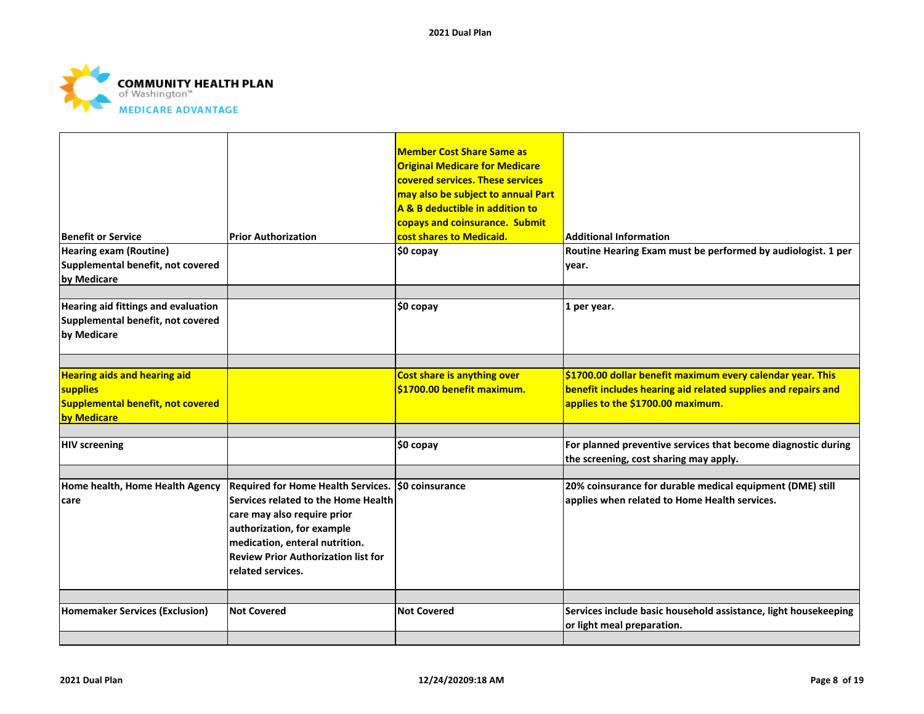

| <b>Benefit or Service</b><br><b>Hearing exam (Routine)</b><br>Supplemental benefit, not covered     | <b>Prior Authorization</b>                                                                                                                                                                                                                                  | <b>Member Cost Share Same as</b><br><b>Original Medicare for Medicare</b><br>covered services. These services<br>may also be subject to annual Part<br>A & B deductible in addition to<br>copays and coinsurance. Submit<br>cost shares to Medicaid.<br>\$0 copay | <b>Additional Information</b><br>Routine Hearing Exam must be performed by audiologist. 1 per<br>year.                                                           |
|-----------------------------------------------------------------------------------------------------|-------------------------------------------------------------------------------------------------------------------------------------------------------------------------------------------------------------------------------------------------------------|-------------------------------------------------------------------------------------------------------------------------------------------------------------------------------------------------------------------------------------------------------------------|------------------------------------------------------------------------------------------------------------------------------------------------------------------|
| by Medicare                                                                                         |                                                                                                                                                                                                                                                             |                                                                                                                                                                                                                                                                   |                                                                                                                                                                  |
| Hearing aid fittings and evaluation<br>Supplemental benefit, not covered<br>by Medicare             |                                                                                                                                                                                                                                                             | $$0$ copay                                                                                                                                                                                                                                                        | 1 per year.                                                                                                                                                      |
|                                                                                                     |                                                                                                                                                                                                                                                             |                                                                                                                                                                                                                                                                   |                                                                                                                                                                  |
| <b>Hearing aids and hearing aid</b><br>supplies<br>Supplemental benefit, not covered<br>by Medicare |                                                                                                                                                                                                                                                             | <b>Cost share is anything over</b><br>\$1700.00 benefit maximum.                                                                                                                                                                                                  | \$1700.00 dollar benefit maximum every calendar year. This<br>benefit includes hearing aid related supplies and repairs and<br>applies to the \$1700.00 maximum. |
|                                                                                                     |                                                                                                                                                                                                                                                             |                                                                                                                                                                                                                                                                   |                                                                                                                                                                  |
| <b>HIV screening</b>                                                                                |                                                                                                                                                                                                                                                             | $$0$ copay                                                                                                                                                                                                                                                        | For planned preventive services that become diagnostic during<br>the screening, cost sharing may apply.                                                          |
|                                                                                                     |                                                                                                                                                                                                                                                             |                                                                                                                                                                                                                                                                   |                                                                                                                                                                  |
| Home health, Home Health Agency<br>care                                                             | Required for Home Health Services. \$0 coinsurance<br>Services related to the Home Health<br>care may also require prior<br>authorization, for example<br>medication, enteral nutrition.<br><b>Review Prior Authorization list for</b><br>related services. |                                                                                                                                                                                                                                                                   | 20% coinsurance for durable medical equipment (DME) still<br>applies when related to Home Health services.                                                       |
|                                                                                                     |                                                                                                                                                                                                                                                             |                                                                                                                                                                                                                                                                   |                                                                                                                                                                  |
| <b>Homemaker Services (Exclusion)</b>                                                               | <b>Not Covered</b>                                                                                                                                                                                                                                          | <b>Not Covered</b>                                                                                                                                                                                                                                                | Services include basic household assistance, light housekeeping<br>or light meal preparation.                                                                    |
|                                                                                                     |                                                                                                                                                                                                                                                             |                                                                                                                                                                                                                                                                   |                                                                                                                                                                  |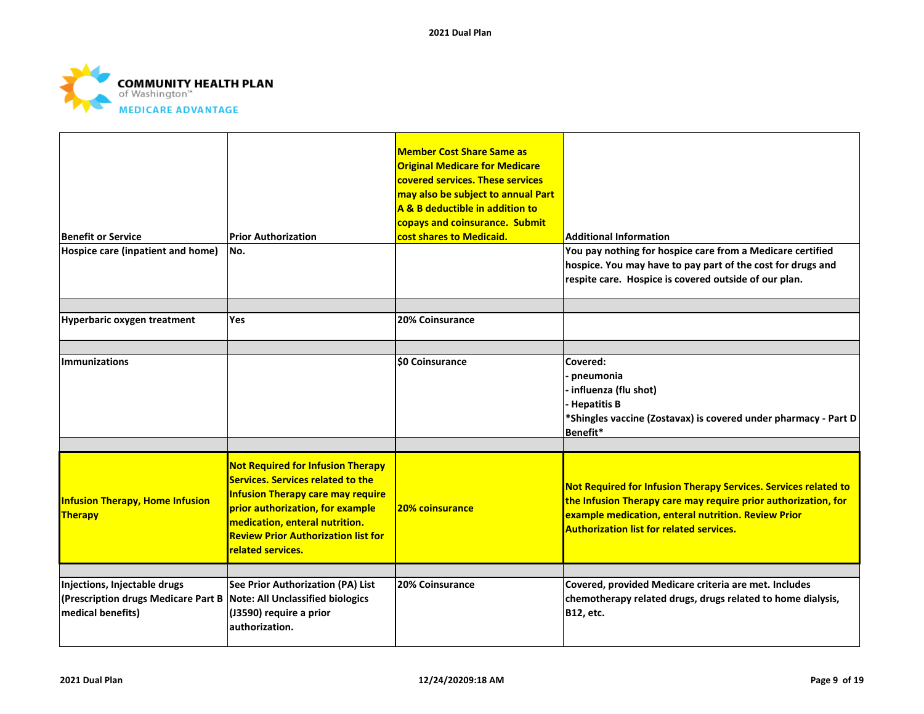

| Benefit or Service<br>Hospice care (inpatient and home)                                                                   | <b>Prior Authorization</b><br>No.                                                                                                                                                                                                                                         | <b>Member Cost Share Same as</b><br><b>Original Medicare for Medicare</b><br>covered services. These services<br>may also be subject to annual Part<br>A & B deductible in addition to<br>copays and coinsurance. Submit<br>cost shares to Medicaid. | <b>Additional Information</b><br>You pay nothing for hospice care from a Medicare certified<br>hospice. You may have to pay part of the cost for drugs and<br>respite care. Hospice is covered outside of our plan.                         |
|---------------------------------------------------------------------------------------------------------------------------|---------------------------------------------------------------------------------------------------------------------------------------------------------------------------------------------------------------------------------------------------------------------------|------------------------------------------------------------------------------------------------------------------------------------------------------------------------------------------------------------------------------------------------------|---------------------------------------------------------------------------------------------------------------------------------------------------------------------------------------------------------------------------------------------|
| Hyperbaric oxygen treatment                                                                                               | <b>Yes</b>                                                                                                                                                                                                                                                                | 20% Coinsurance                                                                                                                                                                                                                                      |                                                                                                                                                                                                                                             |
| <b>Immunizations</b>                                                                                                      |                                                                                                                                                                                                                                                                           | <b>SO Coinsurance</b>                                                                                                                                                                                                                                | Covered:<br>pneumonia<br>influenza (flu shot)<br>Hepatitis B<br>*Shingles vaccine (Zostavax) is covered under pharmacy - Part D<br>Benefit*                                                                                                 |
| <b>Infusion Therapy, Home Infusion</b><br>Therapy                                                                         | <b>Not Required for Infusion Therapy</b><br><b>Services. Services related to the</b><br><b>Infusion Therapy care may require</b><br>prior authorization, for example<br>medication, enteral nutrition.<br><b>Review Prior Authorization list for</b><br>related services. | 20% coinsurance                                                                                                                                                                                                                                      | Not Required for Infusion Therapy Services. Services related to<br>the Infusion Therapy care may require prior authorization, for<br>example medication, enteral nutrition. Review Prior<br><b>Authorization list for related services.</b> |
|                                                                                                                           |                                                                                                                                                                                                                                                                           |                                                                                                                                                                                                                                                      |                                                                                                                                                                                                                                             |
| Injections, Injectable drugs<br>(Prescription drugs Medicare Part B Note: All Unclassified biologics<br>medical benefits) | See Prior Authorization (PA) List<br>(J3590) require a prior<br>authorization.                                                                                                                                                                                            | 20% Coinsurance                                                                                                                                                                                                                                      | Covered, provided Medicare criteria are met. Includes<br>chemotherapy related drugs, drugs related to home dialysis,<br><b>B12, etc.</b>                                                                                                    |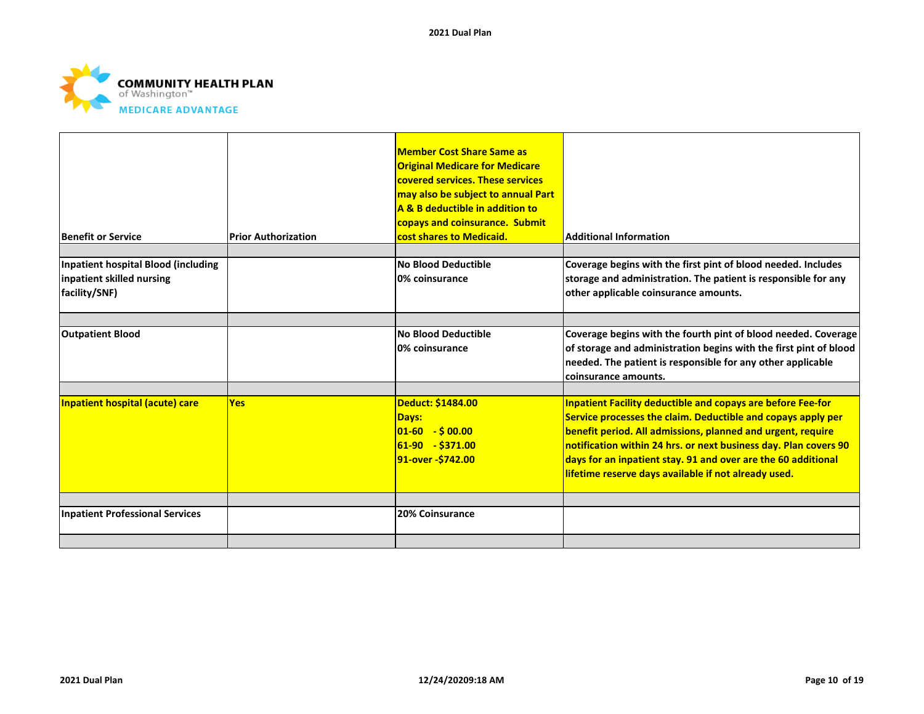

| <b>Benefit or Service</b>                                                         | <b>Prior Authorization</b> | <b>Member Cost Share Same as</b><br><b>Original Medicare for Medicare</b><br>covered services. These services<br>may also be subject to annual Part<br>A & B deductible in addition to<br>copays and coinsurance. Submit<br>cost shares to Medicaid. | <b>Additional Information</b>                                                                                                                                                                                                                                                                                                                                                                  |
|-----------------------------------------------------------------------------------|----------------------------|------------------------------------------------------------------------------------------------------------------------------------------------------------------------------------------------------------------------------------------------------|------------------------------------------------------------------------------------------------------------------------------------------------------------------------------------------------------------------------------------------------------------------------------------------------------------------------------------------------------------------------------------------------|
| Inpatient hospital Blood (including<br>inpatient skilled nursing<br>facility/SNF) |                            | No Blood Deductible<br>0% coinsurance                                                                                                                                                                                                                | Coverage begins with the first pint of blood needed. Includes<br>storage and administration. The patient is responsible for any<br>other applicable coinsurance amounts.                                                                                                                                                                                                                       |
| <b>Outpatient Blood</b>                                                           |                            | <b>No Blood Deductible</b><br>10% coinsurance                                                                                                                                                                                                        | Coverage begins with the fourth pint of blood needed. Coverage<br>of storage and administration begins with the first pint of blood<br>needed. The patient is responsible for any other applicable<br>coinsurance amounts.                                                                                                                                                                     |
| Inpatient hospital (acute) care                                                   | <b>Yes</b>                 | Deduct: \$1484.00<br>Days:<br>$ 01-60  - S 00.00 $<br>$61-90 - $371.00$<br>91-over - \$742.00                                                                                                                                                        | <b>Inpatient Facility deductible and copays are before Fee-for</b><br>Service processes the claim. Deductible and copays apply per<br>benefit period. All admissions, planned and urgent, require<br>notification within 24 hrs. or next business day. Plan covers 90<br>days for an inpatient stay. 91 and over are the 60 additional<br>lifetime reserve days available if not already used. |
| <b>Inpatient Professional Services</b>                                            |                            | 20% Coinsurance                                                                                                                                                                                                                                      |                                                                                                                                                                                                                                                                                                                                                                                                |
|                                                                                   |                            |                                                                                                                                                                                                                                                      |                                                                                                                                                                                                                                                                                                                                                                                                |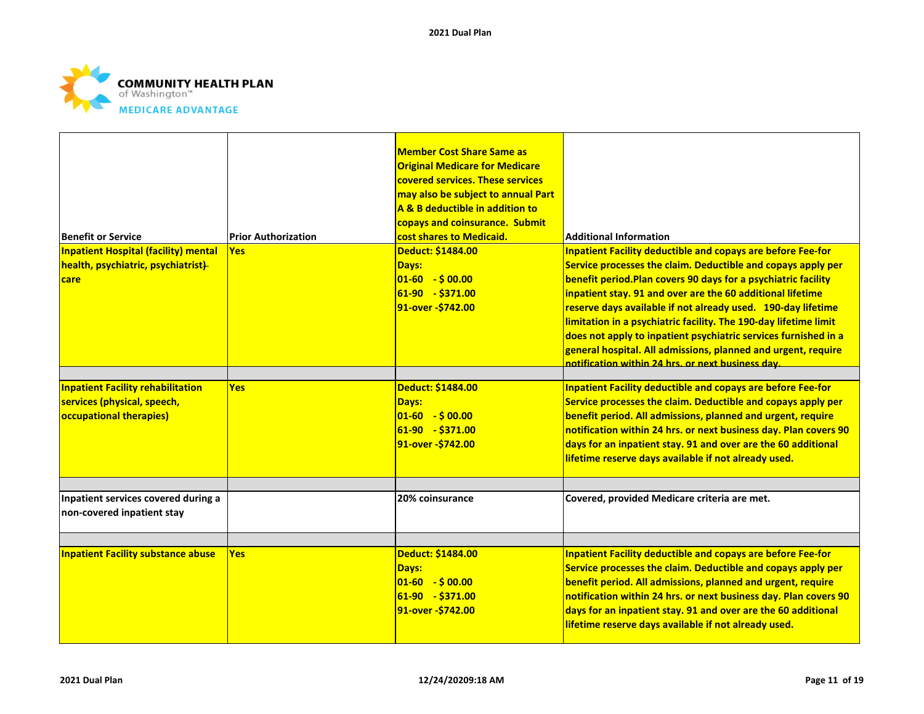

|                                             |                            | <b>Member Cost Share Same as</b>      |                                                                    |
|---------------------------------------------|----------------------------|---------------------------------------|--------------------------------------------------------------------|
|                                             |                            | <b>Original Medicare for Medicare</b> |                                                                    |
|                                             |                            | covered services. These services      |                                                                    |
|                                             |                            | may also be subject to annual Part    |                                                                    |
|                                             |                            | A & B deductible in addition to       |                                                                    |
|                                             |                            | copays and coinsurance. Submit        |                                                                    |
| <b>Benefit or Service</b>                   | <b>Prior Authorization</b> | cost shares to Medicaid.              | <b>Additional Information</b>                                      |
| <b>Inpatient Hospital (facility) mental</b> | <b>Yes</b>                 | Deduct: \$1484.00                     | <b>Inpatient Facility deductible and copays are before Fee-for</b> |
| health, psychiatric, psychiatrist)          |                            | Days:                                 | Service processes the claim. Deductible and copays apply per       |
| <b>care</b>                                 |                            | $ 01 - 60  - $00.00 $                 | benefit period. Plan covers 90 days for a psychiatric facility     |
|                                             |                            | 61-90 - \$371.00                      | inpatient stay. 91 and over are the 60 additional lifetime         |
|                                             |                            | 91-over - \$742.00                    | reserve days available if not already used. 190-day lifetime       |
|                                             |                            |                                       | limitation in a psychiatric facility. The 190-day lifetime limit   |
|                                             |                            |                                       | does not apply to inpatient psychiatric services furnished in a    |
|                                             |                            |                                       | general hospital. All admissions, planned and urgent, require      |
|                                             |                            |                                       |                                                                    |
|                                             |                            |                                       | notification within 24 hrs. or next business day.                  |
| <b>Inpatient Facility rehabilitation</b>    | <b>Yes</b>                 | Deduct: \$1484.00                     | <b>Inpatient Facility deductible and copays are before Fee-for</b> |
| services (physical, speech,                 |                            | Days:                                 | Service processes the claim. Deductible and copays apply per       |
| occupational therapies)                     |                            | $01-60 - $00.00$                      | benefit period. All admissions, planned and urgent, require        |
|                                             |                            | $ 61-90 - $371.00$                    | notification within 24 hrs. or next business day. Plan covers 90   |
|                                             |                            | 91-over - \$742.00                    | days for an inpatient stay. 91 and over are the 60 additional      |
|                                             |                            |                                       | lifetime reserve days available if not already used.               |
|                                             |                            |                                       |                                                                    |
|                                             |                            |                                       |                                                                    |
| Inpatient services covered during a         |                            | 20% coinsurance                       | Covered, provided Medicare criteria are met.                       |
| non-covered inpatient stay                  |                            |                                       |                                                                    |
|                                             |                            |                                       |                                                                    |
|                                             |                            |                                       |                                                                    |
| <b>Inpatient Facility substance abuse</b>   | <b>Yes</b>                 | Deduct: \$1484.00                     | <b>Inpatient Facility deductible and copays are before Fee-for</b> |
|                                             |                            | Days:                                 | Service processes the claim. Deductible and copays apply per       |
|                                             |                            | $ 01-60  - $00.00 $                   | benefit period. All admissions, planned and urgent, require        |
|                                             |                            | 61-90 - \$371.00                      | notification within 24 hrs. or next business day. Plan covers 90   |
|                                             |                            | 91-over - \$742.00                    | days for an inpatient stay. 91 and over are the 60 additional      |
|                                             |                            |                                       | lifetime reserve days available if not already used.               |
|                                             |                            |                                       |                                                                    |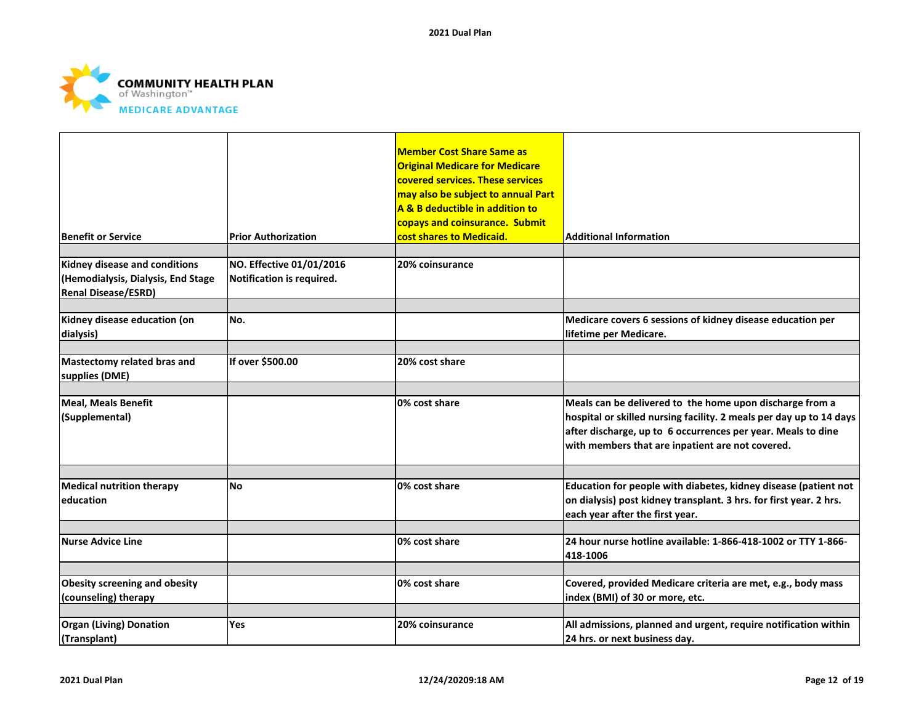

| Benefit or Service                                                                                | <b>Prior Authorization</b>                            | <b>Member Cost Share Same as</b><br><b>Original Medicare for Medicare</b><br>covered services. These services<br>may also be subject to annual Part<br>A & B deductible in addition to<br>copays and coinsurance. Submit<br>cost shares to Medicaid. | <b>Additional Information</b>                                                                                                                                                                                                                       |
|---------------------------------------------------------------------------------------------------|-------------------------------------------------------|------------------------------------------------------------------------------------------------------------------------------------------------------------------------------------------------------------------------------------------------------|-----------------------------------------------------------------------------------------------------------------------------------------------------------------------------------------------------------------------------------------------------|
|                                                                                                   |                                                       |                                                                                                                                                                                                                                                      |                                                                                                                                                                                                                                                     |
| Kidney disease and conditions<br>(Hemodialysis, Dialysis, End Stage<br><b>Renal Disease/ESRD)</b> | NO. Effective 01/01/2016<br>Notification is required. | 20% coinsurance                                                                                                                                                                                                                                      |                                                                                                                                                                                                                                                     |
| Kidney disease education (on<br>dialysis)                                                         | No.                                                   |                                                                                                                                                                                                                                                      | Medicare covers 6 sessions of kidney disease education per<br>lifetime per Medicare.                                                                                                                                                                |
| Mastectomy related bras and<br>supplies (DME)                                                     | If over \$500.00                                      | 20% cost share                                                                                                                                                                                                                                       |                                                                                                                                                                                                                                                     |
| <b>Meal, Meals Benefit</b><br>(Supplemental)                                                      |                                                       | 0% cost share                                                                                                                                                                                                                                        | Meals can be delivered to the home upon discharge from a<br>hospital or skilled nursing facility. 2 meals per day up to 14 days<br>after discharge, up to 6 occurrences per year. Meals to dine<br>with members that are inpatient are not covered. |
|                                                                                                   |                                                       |                                                                                                                                                                                                                                                      |                                                                                                                                                                                                                                                     |
| <b>Medical nutrition therapy</b><br><b>education</b>                                              | <b>No</b>                                             | 0% cost share                                                                                                                                                                                                                                        | Education for people with diabetes, kidney disease (patient not<br>on dialysis) post kidney transplant. 3 hrs. for first year. 2 hrs.<br>each year after the first year.                                                                            |
| <b>Nurse Advice Line</b>                                                                          |                                                       | 0% cost share                                                                                                                                                                                                                                        | 24 hour nurse hotline available: 1-866-418-1002 or TTY 1-866-<br>418-1006                                                                                                                                                                           |
| <b>Obesity screening and obesity</b><br>(counseling) therapy                                      |                                                       | 0% cost share                                                                                                                                                                                                                                        | Covered, provided Medicare criteria are met, e.g., body mass<br>index (BMI) of 30 or more, etc.                                                                                                                                                     |
| <b>Organ (Living) Donation</b><br>(Transplant)                                                    | Yes                                                   | 20% coinsurance                                                                                                                                                                                                                                      | All admissions, planned and urgent, require notification within<br>24 hrs. or next business day.                                                                                                                                                    |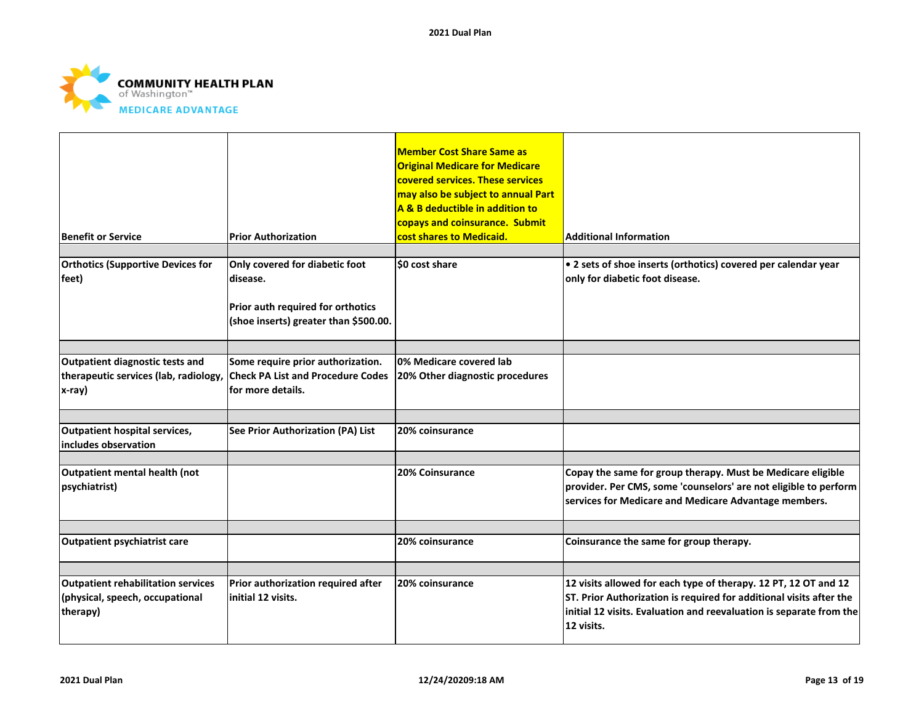

| <b>Benefit or Service</b>                                                                | <b>Prior Authorization</b>                                                                                               | <b>Member Cost Share Same as</b><br><b>Original Medicare for Medicare</b><br>covered services. These services<br>may also be subject to annual Part<br>A & B deductible in addition to<br>copays and coinsurance. Submit<br>cost shares to Medicaid. | <b>Additional Information</b>                                                                                                                                                                                               |
|------------------------------------------------------------------------------------------|--------------------------------------------------------------------------------------------------------------------------|------------------------------------------------------------------------------------------------------------------------------------------------------------------------------------------------------------------------------------------------------|-----------------------------------------------------------------------------------------------------------------------------------------------------------------------------------------------------------------------------|
| <b>Orthotics (Supportive Devices for</b><br>feet)                                        | Only covered for diabetic foot<br>disease.<br>Prior auth required for orthotics<br>(shoe inserts) greater than \$500.00. | \$0 cost share                                                                                                                                                                                                                                       | • 2 sets of shoe inserts (orthotics) covered per calendar year<br>only for diabetic foot disease.                                                                                                                           |
| Outpatient diagnostic tests and<br>therapeutic services (lab, radiology,<br>x-ray)       | Some require prior authorization.<br><b>Check PA List and Procedure Codes</b><br>lfor more details.                      | 0% Medicare covered lab<br>20% Other diagnostic procedures                                                                                                                                                                                           |                                                                                                                                                                                                                             |
| Outpatient hospital services,<br>includes observation                                    | <b>See Prior Authorization (PA) List</b>                                                                                 | 20% coinsurance                                                                                                                                                                                                                                      |                                                                                                                                                                                                                             |
| Outpatient mental health (not<br>psychiatrist)                                           |                                                                                                                          | 20% Coinsurance                                                                                                                                                                                                                                      | Copay the same for group therapy. Must be Medicare eligible<br>provider. Per CMS, some 'counselors' are not eligible to perform<br>services for Medicare and Medicare Advantage members.                                    |
| <b>Outpatient psychiatrist care</b>                                                      |                                                                                                                          | 20% coinsurance                                                                                                                                                                                                                                      | Coinsurance the same for group therapy.                                                                                                                                                                                     |
| <b>Outpatient rehabilitation services</b><br>(physical, speech, occupational<br>therapy) | Prior authorization required after<br>initial 12 visits.                                                                 | 20% coinsurance                                                                                                                                                                                                                                      | 12 visits allowed for each type of therapy. 12 PT, 12 OT and 12<br>ST. Prior Authorization is required for additional visits after the<br>initial 12 visits. Evaluation and reevaluation is separate from the<br>12 visits. |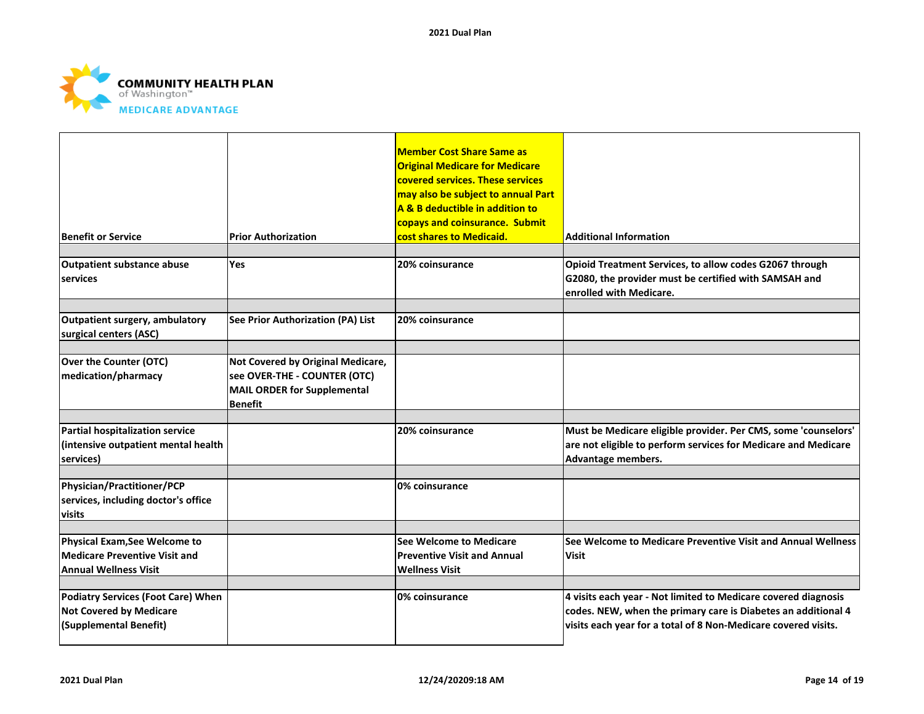

| <b>Benefit or Service</b>                                                                      | <b>Prior Authorization</b>                                                                                         | <b>Member Cost Share Same as</b><br><b>Original Medicare for Medicare</b><br>covered services. These services<br>may also be subject to annual Part<br>A & B deductible in addition to<br>copays and coinsurance. Submit<br>cost shares to Medicaid. | <b>Additional Information</b>                                                                                                                                                                     |
|------------------------------------------------------------------------------------------------|--------------------------------------------------------------------------------------------------------------------|------------------------------------------------------------------------------------------------------------------------------------------------------------------------------------------------------------------------------------------------------|---------------------------------------------------------------------------------------------------------------------------------------------------------------------------------------------------|
| <b>Outpatient substance abuse</b><br>services                                                  | Yes                                                                                                                | 20% coinsurance                                                                                                                                                                                                                                      | Opioid Treatment Services, to allow codes G2067 through<br>G2080, the provider must be certified with SAMSAH and<br>enrolled with Medicare.                                                       |
| Outpatient surgery, ambulatory<br>surgical centers (ASC)                                       | See Prior Authorization (PA) List                                                                                  | 20% coinsurance                                                                                                                                                                                                                                      |                                                                                                                                                                                                   |
| <b>Over the Counter (OTC)</b><br>medication/pharmacy                                           | Not Covered by Original Medicare,<br>see OVER-THE - COUNTER (OTC)<br>MAIL ORDER for Supplemental<br><b>Benefit</b> |                                                                                                                                                                                                                                                      |                                                                                                                                                                                                   |
| Partial hospitalization service<br>(intensive outpatient mental health<br>services)            |                                                                                                                    | 20% coinsurance                                                                                                                                                                                                                                      | Must be Medicare eligible provider. Per CMS, some 'counselors'<br>are not eligible to perform services for Medicare and Medicare<br>Advantage members.                                            |
| Physician/Practitioner/PCP<br>services, including doctor's office<br>visits                    |                                                                                                                    | 0% coinsurance                                                                                                                                                                                                                                       |                                                                                                                                                                                                   |
| Physical Exam, See Welcome to<br>Medicare Preventive Visit and<br><b>Annual Wellness Visit</b> |                                                                                                                    | <b>See Welcome to Medicare</b><br><b>Preventive Visit and Annual</b><br><b>Wellness Visit</b>                                                                                                                                                        | See Welcome to Medicare Preventive Visit and Annual Wellness<br>Visit                                                                                                                             |
| Podiatry Services (Foot Care) When<br><b>Not Covered by Medicare</b><br>(Supplemental Benefit) |                                                                                                                    | 0% coinsurance                                                                                                                                                                                                                                       | 4 visits each year - Not limited to Medicare covered diagnosis<br>codes. NEW, when the primary care is Diabetes an additional 4<br>visits each year for a total of 8 Non-Medicare covered visits. |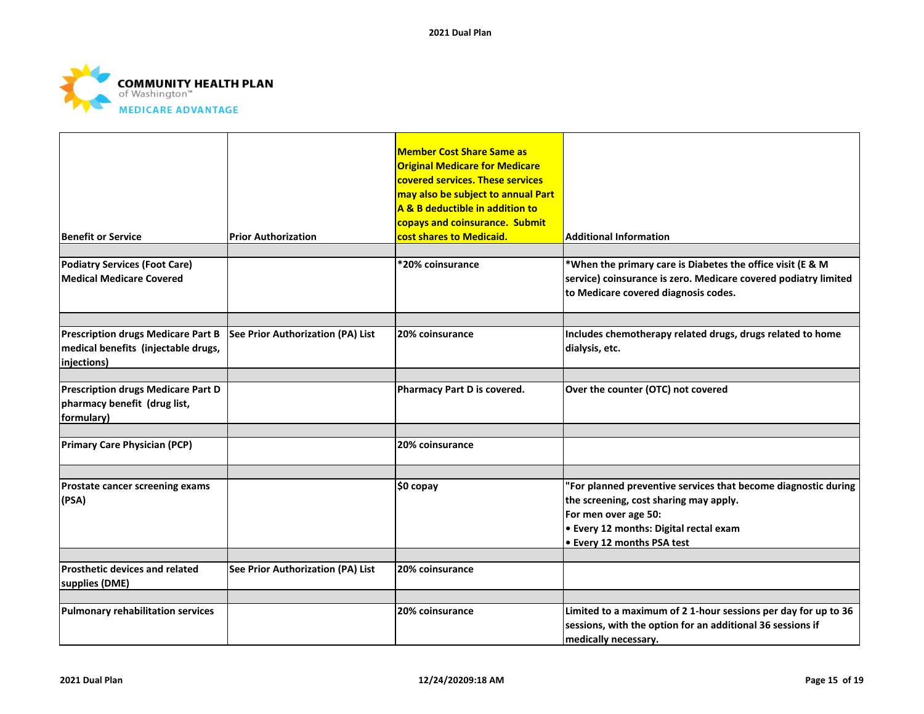

| <b>Benefit or Service</b>                                                                       | <b>Prior Authorization</b>               | <b>Member Cost Share Same as</b><br><b>Original Medicare for Medicare</b><br>covered services. These services<br>may also be subject to annual Part<br>A & B deductible in addition to<br>copays and coinsurance. Submit<br>cost shares to Medicaid. | <b>Additional Information</b>                                                                                                                                                                                          |
|-------------------------------------------------------------------------------------------------|------------------------------------------|------------------------------------------------------------------------------------------------------------------------------------------------------------------------------------------------------------------------------------------------------|------------------------------------------------------------------------------------------------------------------------------------------------------------------------------------------------------------------------|
|                                                                                                 |                                          |                                                                                                                                                                                                                                                      |                                                                                                                                                                                                                        |
| <b>Podiatry Services (Foot Care)</b><br><b>Medical Medicare Covered</b>                         |                                          | *20% coinsurance                                                                                                                                                                                                                                     | *When the primary care is Diabetes the office visit (E & M<br>service) coinsurance is zero. Medicare covered podiatry limited<br>to Medicare covered diagnosis codes.                                                  |
|                                                                                                 |                                          |                                                                                                                                                                                                                                                      |                                                                                                                                                                                                                        |
| <b>Prescription drugs Medicare Part B</b><br>medical benefits (injectable drugs,<br>injections) | See Prior Authorization (PA) List        | 20% coinsurance                                                                                                                                                                                                                                      | Includes chemotherapy related drugs, drugs related to home<br>dialysis, etc.                                                                                                                                           |
|                                                                                                 |                                          |                                                                                                                                                                                                                                                      |                                                                                                                                                                                                                        |
| <b>Prescription drugs Medicare Part D</b><br>pharmacy benefit (drug list,<br>formulary)         |                                          | Pharmacy Part D is covered.                                                                                                                                                                                                                          | Over the counter (OTC) not covered                                                                                                                                                                                     |
|                                                                                                 |                                          |                                                                                                                                                                                                                                                      |                                                                                                                                                                                                                        |
| <b>Primary Care Physician (PCP)</b>                                                             |                                          | 20% coinsurance                                                                                                                                                                                                                                      |                                                                                                                                                                                                                        |
|                                                                                                 |                                          |                                                                                                                                                                                                                                                      |                                                                                                                                                                                                                        |
| Prostate cancer screening exams<br>(PSA)                                                        |                                          | $$0$ copay                                                                                                                                                                                                                                           | "For planned preventive services that become diagnostic during<br>the screening, cost sharing may apply.<br>For men over age 50:<br><b>.</b> Every 12 months: Digital rectal exam<br><b>.</b> Every 12 months PSA test |
|                                                                                                 |                                          |                                                                                                                                                                                                                                                      |                                                                                                                                                                                                                        |
| Prosthetic devices and related<br>supplies (DME)                                                | <b>See Prior Authorization (PA) List</b> | 20% coinsurance                                                                                                                                                                                                                                      |                                                                                                                                                                                                                        |
|                                                                                                 |                                          |                                                                                                                                                                                                                                                      |                                                                                                                                                                                                                        |
| <b>Pulmonary rehabilitation services</b>                                                        |                                          | 20% coinsurance                                                                                                                                                                                                                                      | Limited to a maximum of 2 1-hour sessions per day for up to 36<br>sessions, with the option for an additional 36 sessions if<br>medically necessary.                                                                   |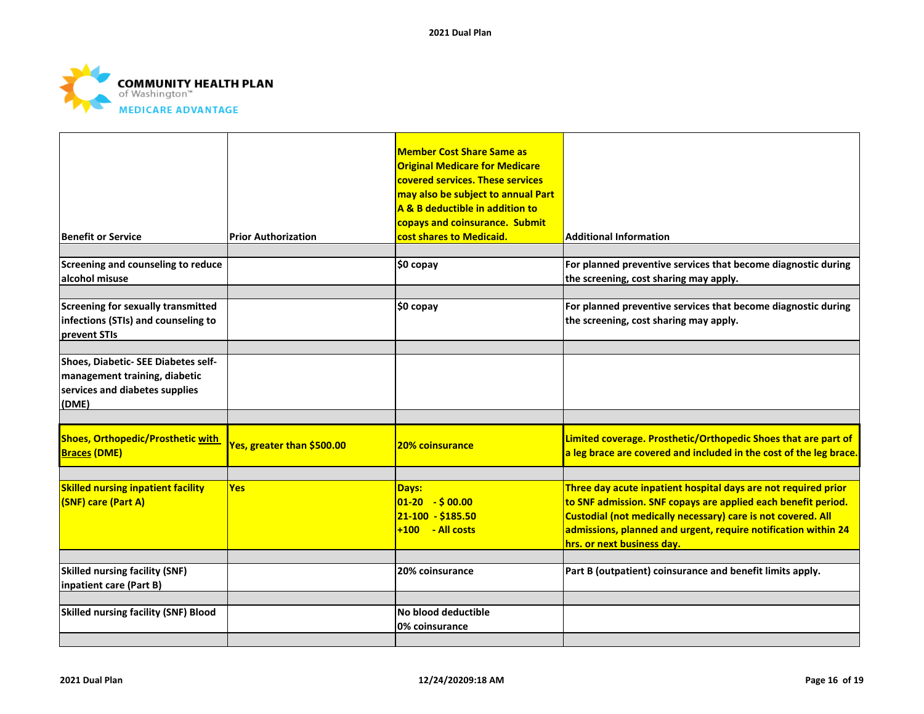

| Benefit or Service                                                                                              | <b>Prior Authorization</b> | <b>Member Cost Share Same as</b><br><b>Original Medicare for Medicare</b><br>covered services. These services<br>may also be subject to annual Part<br>A & B deductible in addition to<br>copays and coinsurance. Submit<br>cost shares to Medicaid. | <b>Additional Information</b>                                                                                                                                                                                                                                                                   |
|-----------------------------------------------------------------------------------------------------------------|----------------------------|------------------------------------------------------------------------------------------------------------------------------------------------------------------------------------------------------------------------------------------------------|-------------------------------------------------------------------------------------------------------------------------------------------------------------------------------------------------------------------------------------------------------------------------------------------------|
| Screening and counseling to reduce<br>alcohol misuse                                                            |                            | \$0 copay                                                                                                                                                                                                                                            | For planned preventive services that become diagnostic during<br>the screening, cost sharing may apply.                                                                                                                                                                                         |
| <b>Screening for sexually transmitted</b><br>infections (STIs) and counseling to<br><b>prevent STIs</b>         |                            | \$0 copay                                                                                                                                                                                                                                            | For planned preventive services that become diagnostic during<br>the screening, cost sharing may apply.                                                                                                                                                                                         |
| Shoes, Diabetic- SEE Diabetes self-<br>management training, diabetic<br>services and diabetes supplies<br>(DME) |                            |                                                                                                                                                                                                                                                      |                                                                                                                                                                                                                                                                                                 |
| <b>Shoes, Orthopedic/Prosthetic with</b><br><b>Braces (DME)</b>                                                 | Yes, greater than \$500.00 | <b>20% coinsurance</b>                                                                                                                                                                                                                               | Limited coverage. Prosthetic/Orthopedic Shoes that are part of<br>a leg brace are covered and included in the cost of the leg brace.                                                                                                                                                            |
| <b>Skilled nursing inpatient facility</b><br>(SNF) care (Part A)                                                | <b>Yes</b>                 | Days:<br>$01-20 - 500.00$<br>21-100 - \$185.50<br>$+100 - Al \ncosts$                                                                                                                                                                                | Three day acute inpatient hospital days are not required prior<br>to SNF admission. SNF copays are applied each benefit period.<br>Custodial (not medically necessary) care is not covered. All<br>admissions, planned and urgent, require notification within 24<br>hrs. or next business day. |
| <b>Skilled nursing facility (SNF)</b><br>inpatient care (Part B)                                                |                            | 20% coinsurance                                                                                                                                                                                                                                      | Part B (outpatient) coinsurance and benefit limits apply.                                                                                                                                                                                                                                       |
| <b>Skilled nursing facility (SNF) Blood</b>                                                                     |                            | No blood deductible<br>0% coinsurance                                                                                                                                                                                                                |                                                                                                                                                                                                                                                                                                 |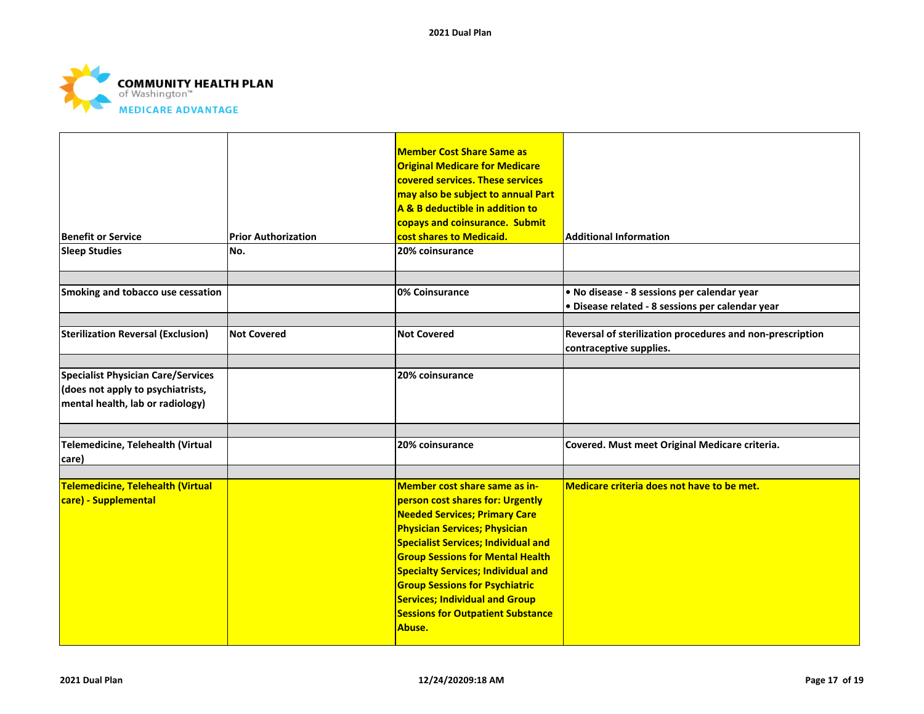

| <b>Benefit or Service</b><br><b>Sleep Studies</b>                                                                  | <b>Prior Authorization</b><br>No. | <b>Member Cost Share Same as</b><br><b>Original Medicare for Medicare</b><br>covered services. These services<br>may also be subject to annual Part<br>A & B deductible in addition to<br>copays and coinsurance. Submit<br>cost shares to Medicaid.<br>20% coinsurance                                                                                                                                                         | <b>Additional Information</b>                                                                   |
|--------------------------------------------------------------------------------------------------------------------|-----------------------------------|---------------------------------------------------------------------------------------------------------------------------------------------------------------------------------------------------------------------------------------------------------------------------------------------------------------------------------------------------------------------------------------------------------------------------------|-------------------------------------------------------------------------------------------------|
| Smoking and tobacco use cessation                                                                                  |                                   | 0% Coinsurance                                                                                                                                                                                                                                                                                                                                                                                                                  | · No disease - 8 sessions per calendar year<br>· Disease related - 8 sessions per calendar year |
| <b>Sterilization Reversal (Exclusion)</b>                                                                          | <b>Not Covered</b>                | <b>Not Covered</b>                                                                                                                                                                                                                                                                                                                                                                                                              | Reversal of sterilization procedures and non-prescription<br>contraceptive supplies.            |
| <b>Specialist Physician Care/Services</b><br>(does not apply to psychiatrists,<br>mental health, lab or radiology) |                                   | 20% coinsurance                                                                                                                                                                                                                                                                                                                                                                                                                 |                                                                                                 |
| Telemedicine, Telehealth (Virtual<br>care)                                                                         |                                   | 20% coinsurance                                                                                                                                                                                                                                                                                                                                                                                                                 | Covered. Must meet Original Medicare criteria.                                                  |
| <b>Telemedicine, Telehealth (Virtual</b><br>care) - Supplemental                                                   |                                   | Member cost share same as in-<br>person cost shares for: Urgently<br><b>Needed Services; Primary Care</b><br><b>Physician Services; Physician</b><br><b>Specialist Services; Individual and</b><br><b>Group Sessions for Mental Health</b><br><b>Specialty Services; Individual and</b><br><b>Group Sessions for Psychiatric</b><br><b>Services; Individual and Group</b><br><b>Sessions for Outpatient Substance</b><br>Abuse. | Medicare criteria does not have to be met.                                                      |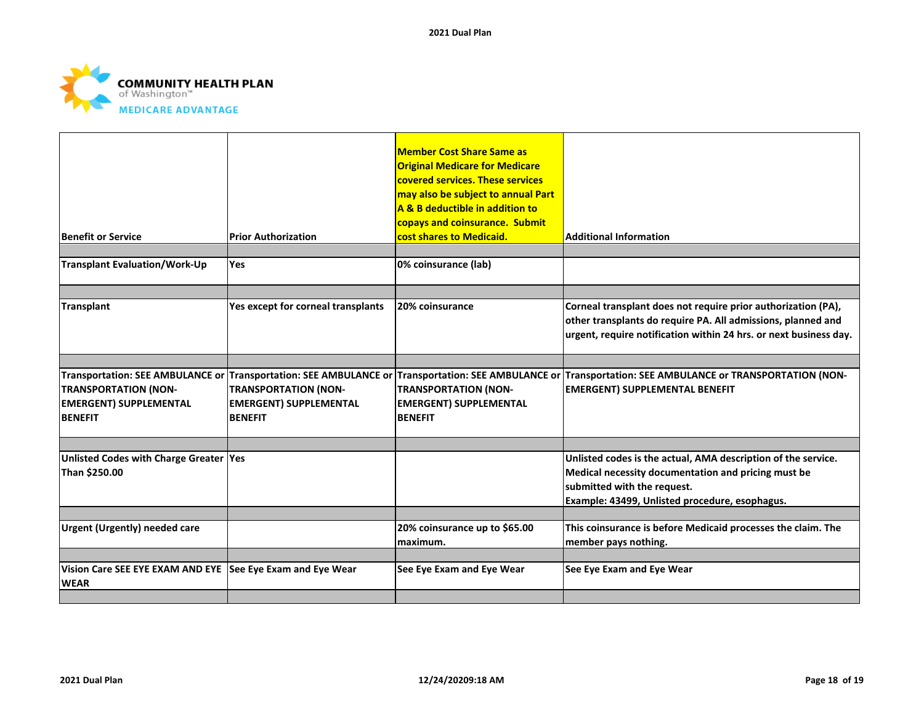

| <b>Benefit or Service</b>                                                                                                                           | <b>Prior Authorization</b>                                                     | <b>Member Cost Share Same as</b><br><b>Original Medicare for Medicare</b><br>covered services. These services<br>may also be subject to annual Part<br>A & B deductible in addition to<br>copays and coinsurance. Submit<br>cost shares to Medicaid. | <b>Additional Information</b>                                                                                                                                                                         |
|-----------------------------------------------------------------------------------------------------------------------------------------------------|--------------------------------------------------------------------------------|------------------------------------------------------------------------------------------------------------------------------------------------------------------------------------------------------------------------------------------------------|-------------------------------------------------------------------------------------------------------------------------------------------------------------------------------------------------------|
| <b>Transplant Evaluation/Work-Up</b>                                                                                                                | Yes                                                                            | 0% coinsurance (lab)                                                                                                                                                                                                                                 |                                                                                                                                                                                                       |
| <b>Transplant</b>                                                                                                                                   | Yes except for corneal transplants                                             | 20% coinsurance                                                                                                                                                                                                                                      | Corneal transplant does not require prior authorization (PA),<br>other transplants do require PA. All admissions, planned and<br>urgent, require notification within 24 hrs. or next business day.    |
| Transportation: SEE AMBULANCE or Transportation: SEE AMBULANCE or<br><b>TRANSPORTATION (NON-</b><br><b>EMERGENT) SUPPLEMENTAL</b><br><b>BENEFIT</b> | <b>TRANSPORTATION (NON-</b><br><b>EMERGENT) SUPPLEMENTAL</b><br><b>BENEFIT</b> | <b>TRANSPORTATION (NON-</b><br><b>EMERGENT) SUPPLEMENTAL</b><br><b>BENEFIT</b>                                                                                                                                                                       | Transportation: SEE AMBULANCE or Transportation: SEE AMBULANCE or TRANSPORTATION (NON-<br><b>EMERGENT) SUPPLEMENTAL BENEFIT</b>                                                                       |
| Unlisted Codes with Charge Greater Yes<br>Than \$250.00                                                                                             |                                                                                |                                                                                                                                                                                                                                                      | Unlisted codes is the actual, AMA description of the service.<br>Medical necessity documentation and pricing must be<br>submitted with the request.<br>Example: 43499, Unlisted procedure, esophagus. |
| <b>Urgent (Urgently) needed care</b>                                                                                                                |                                                                                | 20% coinsurance up to \$65.00<br>maximum.                                                                                                                                                                                                            | This coinsurance is before Medicaid processes the claim. The<br>member pays nothing.                                                                                                                  |
| Vision Care SEE EYE EXAM AND EYE See Eye Exam and Eye Wear<br><b>WEAR</b>                                                                           |                                                                                | See Eye Exam and Eye Wear                                                                                                                                                                                                                            | See Eye Exam and Eye Wear                                                                                                                                                                             |